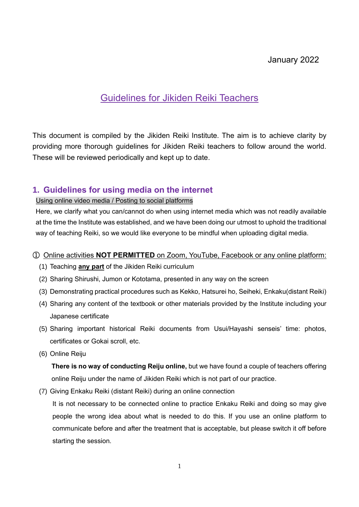# January 2022

# Guidelines for Jikiden Reiki Teachers

This document is compiled by the Jikiden Reiki Institute. The aim is to achieve clarity by providing more thorough guidelines for Jikiden Reiki teachers to follow around the world. These will be reviewed periodically and kept up to date.

## **1. Guidelines for using media on the internet**

## Using online video media / Posting to social platforms

Here, we clarify what you can/cannot do when using internet media which was not readily available at the time the Institute was established, and we have been doing our utmost to uphold the traditional way of teaching Reiki, so we would like everyone to be mindful when uploading digital media.

#### ① Online activities **NOT PERMITTED** on Zoom, YouTube, Facebook or any online platform:

- (1) Teaching **any part** of the Jikiden Reiki curriculum
- (2) Sharing Shirushi, Jumon or Kototama, presented in any way on the screen
- (3) Demonstrating practical procedures such as Kekko, Hatsurei ho, Seiheki, Enkaku(distant Reiki)
- (4) Sharing any content of the textbook or other materials provided by the Institute including your Japanese certificate
- (5) Sharing important historical Reiki documents from Usui/Hayashi senseis' time: photos, certificates or Gokai scroll, etc.
- (6) Online Reiju

**There is no way of conducting Reiju online,** but we have found a couple of teachers offering online Reiju under the name of Jikiden Reiki which is not part of our practice.

(7) Giving Enkaku Reiki (distant Reiki) during an online connection

 It is not necessary to be connected online to practice Enkaku Reiki and doing so may give people the wrong idea about what is needed to do this. If you use an online platform to communicate before and after the treatment that is acceptable, but please switch it off before starting the session.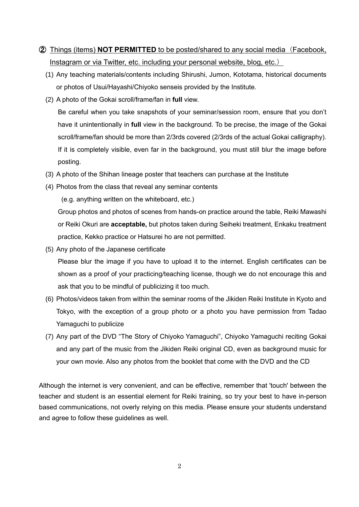# ➁ Things (items) **NOT PERMITTED** to be posted/shared to any social media(Facebook, Instagram or via Twitter, etc. including your personal website, blog, etc.)

- (1) Any teaching materials/contents including Shirushi, Jumon, Kototama, historical documents or photos of Usui/Hayashi/Chiyoko senseis provided by the Institute.
- (2) A photo of the Gokai scroll/frame/fan in **full** view.

Be careful when you take snapshots of your seminar/session room, ensure that you don't have it unintentionally in **full** view in the background. To be precise, the image of the Gokai scroll/frame/fan should be more than 2/3rds covered (2/3rds of the actual Gokai calligraphy). If it is completely visible, even far in the background, you must still blur the image before posting.

- (3) A photo of the Shihan lineage poster that teachers can purchase at the Institute
- (4) Photos from the class that reveal any seminar contents

(e.g. anything written on the whiteboard, etc.)

Group photos and photos of scenes from hands-on practice around the table, Reiki Mawashi or Reiki Okuri are **acceptable,** but photos taken during Seiheki treatment, Enkaku treatment practice, Kekko practice or Hatsurei ho are not permitted.

(5) Any photo of the Japanese certificate

Please blur the image if you have to upload it to the internet. English certificates can be shown as a proof of your practicing/teaching license, though we do not encourage this and ask that you to be mindful of publicizing it too much.

- (6) Photos/videos taken from within the seminar rooms of the Jikiden Reiki Institute in Kyoto and Tokyo, with the exception of a group photo or a photo you have permission from Tadao Yamaguchi to publicize
- (7) Any part of the DVD "The Story of Chiyoko Yamaguchi", Chiyoko Yamaguchi reciting Gokai and any part of the music from the Jikiden Reiki original CD, even as background music for your own movie. Also any photos from the booklet that come with the DVD and the CD

Although the internet is very convenient, and can be effective, remember that 'touch' between the teacher and student is an essential element for Reiki training, so try your best to have in-person based communications, not overly relying on this media. Please ensure your students understand and agree to follow these guidelines as well.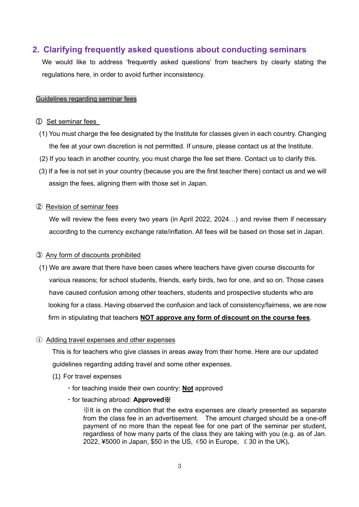## **2. Clarifying frequently asked questions about conducting seminars**

We would like to address 'frequently asked questions' from teachers by clearly stating the regulations here, in order to avoid further inconsistency.

#### Guidelines regarding seminar fees

#### ① Set seminar fees

- (1) You must charge the fee designated by the Institute for classes given in each country. Changing the fee at your own discretion is not permitted. If unsure, please contact us at the Institute.
- (2) If you teach in another country, you must charge the fee set there. Contact us to clarify this.
- (3) If a fee is not set in your country (because you are the first teacher there) contact us and we will assign the fees, aligning them with those set in Japan.

#### ➁ Revision of seminar fees

 We will review the fees every two years (in April 2022, 2024…) and revise them if necessary according to the currency exchange rate/inflation. All fees will be based on those set in Japan.

#### ➂ Any form of discounts prohibited

(1) We are aware that there have been cases where teachers have given course discounts for various reasons; for school students, friends, early birds, two for one, and so on. Those cases have caused confusion among other teachers, students and prospective students who are looking for a class. Having observed the confusion and lack of consistency/fairness, we are now firm in stipulating that teachers **NOT approve any form of discount on the course fees**.

#### ④ Adding travel expenses and other expenses

This is for teachers who give classes in areas away from their home. Here are our updated guidelines regarding adding travel and some other expenses.

#### (1) For travel expenses

- ・for teaching inside their own country: **Not** approved
- ・for teaching abroad: **Approved**※

※It is on the condition that the extra expenses are clearly presented as separate from the class fee in an advertisement. The amount charged should be a one-off payment of no more than the repeat fee for one part of the seminar per student, regardless of how many parts of the class they are taking with you (e.g. as of Jan. 2022, ¥5000 in Japan, \$50 in the US, €50 in Europe, £30 in the UK)**.**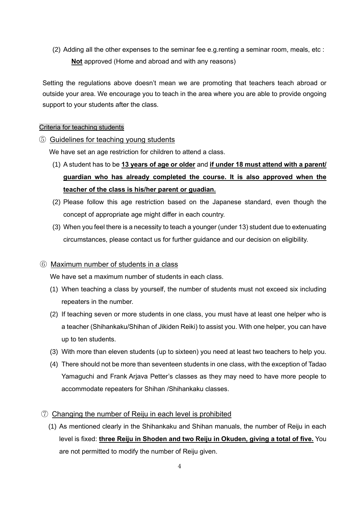(2) Adding all the other expenses to the seminar fee e.g.renting a seminar room, meals, etc : **Not** approved (Home and abroad and with any reasons)

Setting the regulations above doesn't mean we are promoting that teachers teach abroad or outside your area. We encourage you to teach in the area where you are able to provide ongoing support to your students after the class.

## Criteria for teaching students

## ⑤ Guidelines for teaching young students

We have set an age restriction for children to attend a class.

- (1) A student has to be **13 years of age or older** and **if under 18 must attend with a parent/ guardian who has already completed the course. It is also approved when the teacher of the class is his/her parent or guadian.**
- (2) Please follow this age restriction based on the Japanese standard, even though the concept of appropriate age might differ in each country.
- (3) When you feel there is a necessity to teach a younger (under 13) student due to extenuating circumstances, please contact us for further guidance and our decision on eligibility.

## ⑥ Maximum number of students in a class

We have set a maximum number of students in each class.

- (1) When teaching a class by yourself, the number of students must not exceed six including repeaters in the number.
- (2) If teaching seven or more students in one class, you must have at least one helper who is a teacher (Shihankaku/Shihan of Jikiden Reiki) to assist you. With one helper, you can have up to ten students.
- (3) With more than eleven students (up to sixteen) you need at least two teachers to help you.
- (4) There should not be more than seventeen students in one class, with the exception of Tadao Yamaguchi and Frank Arjava Petter's classes as they may need to have more people to accommodate repeaters for Shihan /Shihankaku classes.

## ⑦ Changing the number of Reiju in each level is prohibited

(1) As mentioned clearly in the Shihankaku and Shihan manuals, the number of Reiju in each level is fixed: **three Reiju in Shoden and two Reiju in Okuden, giving a total of five.** You are not permitted to modify the number of Reiju given.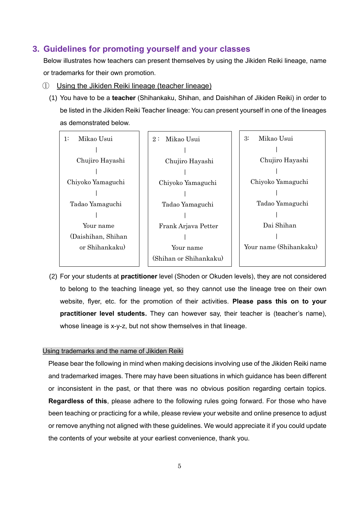## **3. Guidelines for promoting yourself and your classes**

Below illustrates how teachers can present themselves by using the Jikiden Reiki lineage, name or trademarks for their own promotion.

- ① Using the Jikiden Reiki lineage (teacher lineage)
	- (1) You have to be a **teacher** (Shihankaku, Shihan, and Daishihan of Jikiden Reiki) in order to be listed in the Jikiden Reiki Teacher lineage: You can present yourself in one of the lineages as demonstrated below.



(2) For your students at **practitioner** level (Shoden or Okuden levels), they are not considered to belong to the teaching lineage yet, so they cannot use the lineage tree on their own website, flyer, etc. for the promotion of their activities. **Please pass this on to your practitioner level students.** They can however say, their teacher is (teacher's name), whose lineage is x-y-z, but not show themselves in that lineage.

#### Using trademarks and the name of Jikiden Reiki

Please bear the following in mind when making decisions involving use of the Jikiden Reiki name and trademarked images. There may have been situations in which guidance has been different or inconsistent in the past, or that there was no obvious position regarding certain topics. **Regardless of this**, please adhere to the following rules going forward. For those who have been teaching or practicing for a while, please review your website and online presence to adjust or remove anything not aligned with these guidelines. We would appreciate it if you could update the contents of your website at your earliest convenience, thank you.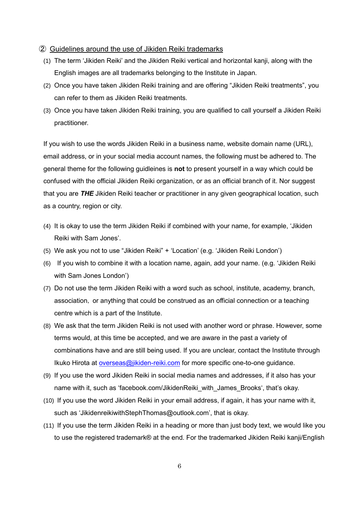#### ➁ Guidelines around the use of Jikiden Reiki trademarks

- (1) The term 'Jikiden Reiki' and the Jikiden Reiki vertical and horizontal kanji, along with the English images are all trademarks belonging to the Institute in Japan.
- (2) Once you have taken Jikiden Reiki training and are offering "Jikiden Reiki treatments", you can refer to them as Jikiden Reiki treatments.
- (3) Once you have taken Jikiden Reiki training, you are qualified to call yourself a Jikiden Reiki practitioner.

If you wish to use the words Jikiden Reiki in a business name, website domain name (URL), email address, or in your social media account names, the following must be adhered to. The general theme for the following guidleines is **not** to present yourself in a way which could be confused with the official Jikiden Reiki organization, or as an official branch of it. Nor suggest that you are *THE* Jikiden Reiki teacher or practitioner in any given geographical location, such as a country, region or city.

- (4) It is okay to use the term Jikiden Reiki if combined with your name, for example, 'Jikiden Reiki with Sam Jones'.
- (5) We ask you not to use "Jikiden Reiki" + 'Location' (e.g. 'Jikiden Reiki London')
- (6) If you wish to combine it with a location name, again, add your name. (e.g. 'Jikiden Reiki with Sam Jones London')
- (7) Do not use the term Jikiden Reiki with a word such as school, institute, academy, branch, association, or anything that could be construed as an official connection or a teaching centre which is a part of the Institute.
- (8) We ask that the term Jikiden Reiki is not used with another word or phrase. However, some terms would, at this time be accepted, and we are aware in the past a variety of combinations have and are still being used. If you are unclear, contact the Institute through Ikuko Hirota at [overseas@jikiden-reiki.com](mailto:overseas@jikiden-reiki.com) for more specific one-to-one guidance.
- (9) If you use the word Jikiden Reiki in social media names and addresses, if it also has your name with it, such as 'facebook.com/JikidenReiki\_with\_James\_Brooks', that's okay.
- (10) If you use the word Jikiden Reiki in your email address, if again, it has your name with it, such as 'JikidenreikiwithStephThomas@outlook.com', that is okay.
- (11) If you use the term Jikiden Reiki in a heading or more than just body text, we would like you to use the registered trademark® at the end. For the trademarked Jikiden Reiki kanji/English